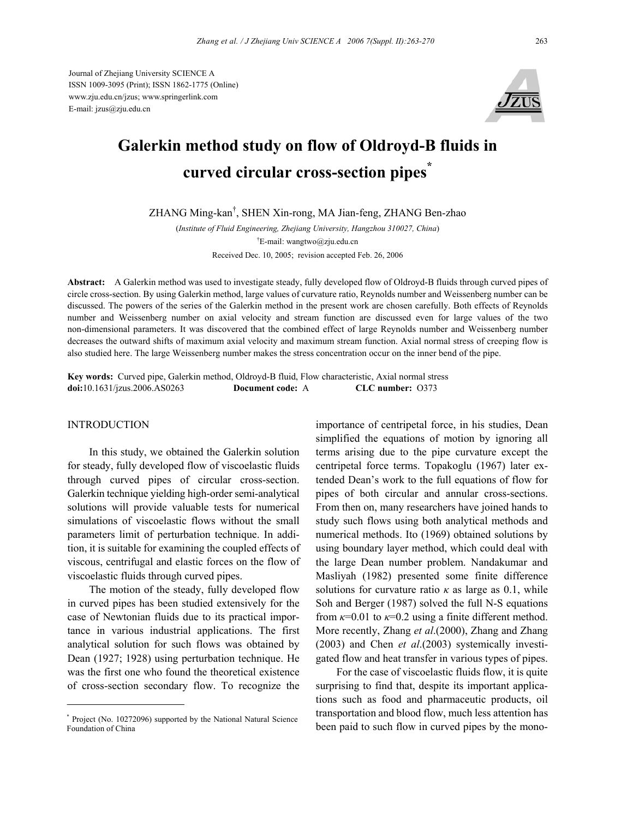Journal of Zhejiang University SCIENCE A ISSN 1009-3095 (Print); ISSN 1862-1775 (Online) www.zju.edu.cn/jzus; www.springerlink.com E-mail: jzus@zju.edu.cn



# **Galerkin method study on flow of Oldroyd-B fluids in curved circular cross-section pipes\***

ZHANG Ming-kan† , SHEN Xin-rong, MA Jian-feng, ZHANG Ben-zhao

(*Institute of Fluid Engineering, Zhejiang University, Hangzhou 310027, China*) † E-mail: wangtwo@zju.edu.cn Received Dec. 10, 2005; revision accepted Feb. 26, 2006

**Abstract:** A Galerkin method was used to investigate steady, fully developed flow of Oldroyd-B fluids through curved pipes of circle cross-section. By using Galerkin method, large values of curvature ratio, Reynolds number and Weissenberg number can be discussed. The powers of the series of the Galerkin method in the present work are chosen carefully. Both effects of Reynolds number and Weissenberg number on axial velocity and stream function are discussed even for large values of the two non-dimensional parameters. It was discovered that the combined effect of large Reynolds number and Weissenberg number decreases the outward shifts of maximum axial velocity and maximum stream function. Axial normal stress of creeping flow is also studied here. The large Weissenberg number makes the stress concentration occur on the inner bend of the pipe.

**Key words:** Curved pipe, Galerkin method, Oldroyd-B fluid, Flow characteristic, Axial normal stress **doi:**10.1631/jzus.2006.AS0263 **Document code:** A **CLC number:** O373

#### INTRODUCTION

In this study, we obtained the Galerkin solution for steady, fully developed flow of viscoelastic fluids through curved pipes of circular cross-section. Galerkin technique yielding high-order semi-analytical solutions will provide valuable tests for numerical simulations of viscoelastic flows without the small parameters limit of perturbation technique. In addition, it is suitable for examining the coupled effects of viscous, centrifugal and elastic forces on the flow of viscoelastic fluids through curved pipes.

The motion of the steady, fully developed flow in curved pipes has been studied extensively for the case of Newtonian fluids due to its practical importance in various industrial applications. The first analytical solution for such flows was obtained by Dean (1927; 1928) using perturbation technique. He was the first one who found the theoretical existence of cross-section secondary flow. To recognize the

importance of centripetal force, in his studies, Dean simplified the equations of motion by ignoring all terms arising due to the pipe curvature except the centripetal force terms. Topakoglu (1967) later extended Dean's work to the full equations of flow for pipes of both circular and annular cross-sections. From then on, many researchers have joined hands to study such flows using both analytical methods and numerical methods. Ito (1969) obtained solutions by using boundary layer method, which could deal with the large Dean number problem. Nandakumar and Masliyah (1982) presented some finite difference solutions for curvature ratio  $\kappa$  as large as 0.1, while Soh and Berger (1987) solved the full N-S equations from  $\kappa$ =0.01 to  $\kappa$ =0.2 using a finite different method. More recently, Zhang *et al*.(2000), Zhang and Zhang (2003) and Chen *et al*.(2003) systemically investigated flow and heat transfer in various types of pipes.

For the case of viscoelastic fluids flow, it is quite surprising to find that, despite its important applications such as food and pharmaceutic products, oil transportation and blood flow, much less attention has been paid to such flow in curved pipes by the mono-

<sup>\*</sup> Project (No. 10272096) supported by the National Natural Science Foundation of China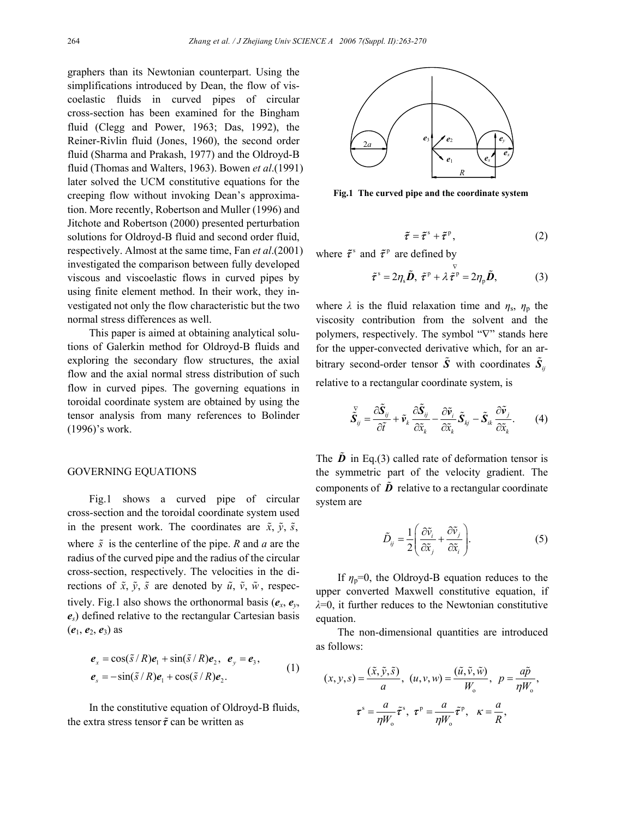graphers than its Newtonian counterpart. Using the simplifications introduced by Dean, the flow of viscoelastic fluids in curved pipes of circular cross-section has been examined for the Bingham fluid (Clegg and Power, 1963; Das, 1992), the Reiner-Rivlin fluid (Jones, 1960), the second order fluid (Sharma and Prakash, 1977) and the Oldroyd-B fluid (Thomas and Walters, 1963). Bowen *et al*.(1991) later solved the UCM constitutive equations for the creeping flow without invoking Dean's approximation. More recently, Robertson and Muller (1996) and Jitchote and Robertson (2000) presented perturbation solutions for Oldroyd-B fluid and second order fluid, respectively. Almost at the same time, Fan *et al*.(2001) investigated the comparison between fully developed viscous and viscoelastic flows in curved pipes by using finite element method. In their work, they investigated not only the flow characteristic but the two normal stress differences as well.

This paper is aimed at obtaining analytical solutions of Galerkin method for Oldroyd-B fluids and exploring the secondary flow structures, the axial flow and the axial normal stress distribution of such flow in curved pipes. The governing equations in toroidal coordinate system are obtained by using the tensor analysis from many references to Bolinder (1996)'s work.

## GOVERNING EQUATIONS

Fig.1 shows a curved pipe of circular cross-section and the toroidal coordinate system used in the present work. The coordinates are  $\tilde{x}$ ,  $\tilde{y}$ ,  $\tilde{s}$ , where  $\tilde{s}$  is the centerline of the pipe. *R* and *a* are the radius of the curved pipe and the radius of the circular cross-section, respectively. The velocities in the directions of  $\tilde{x}$ ,  $\tilde{y}$ ,  $\tilde{s}$  are denoted by  $\tilde{u}$ ,  $\tilde{v}$ ,  $\tilde{w}$ , respectively. Fig.1 also shows the orthonormal basis  $(e_x, e_y,$  $e_s$ ) defined relative to the rectangular Cartesian basis (*e*1, *e*2, *e*3) as

$$
\begin{aligned} \mathbf{e}_x &= \cos(\tilde{s}/R)\mathbf{e}_1 + \sin(\tilde{s}/R)\mathbf{e}_2, \ \mathbf{e}_y = \mathbf{e}_3, \\ \mathbf{e}_s &= -\sin(\tilde{s}/R)\mathbf{e}_1 + \cos(\tilde{s}/R)\mathbf{e}_2. \end{aligned} \tag{1}
$$

In the constitutive equation of Oldroyd-B fluids, the extra stress tensor  $\tilde{\tau}$  can be written as



**Fig.1 The curved pipe and the coordinate system**

$$
\tilde{\tau} = \tilde{\tau}^s + \tilde{\tau}^p, \qquad (2)
$$

where  $\tilde{\tau}^s$  and  $\tilde{\tau}^p$  are defined by

$$
\tilde{\boldsymbol{\tau}}^{\mathrm{s}} = 2\eta_{\mathrm{s}}\tilde{\boldsymbol{D}}, \; \tilde{\boldsymbol{\tau}}^{\mathrm{p}} + \lambda \tilde{\boldsymbol{\tau}}^{\mathrm{p}} = 2\eta_{\mathrm{p}}\tilde{\boldsymbol{D}}, \qquad (3)
$$

where  $\lambda$  is the fluid relaxation time and  $\eta_s$ ,  $\eta_p$  the viscosity contribution from the solvent and the polymers, respectively. The symbol "∇" stands here for the upper-convected derivative which, for an arbitrary second-order tensor  $\tilde{S}$  with coordinates  $\tilde{S}_{ij}$ relative to a rectangular coordinate system, is

$$
\widetilde{\tilde{S}}_{ij} = \frac{\partial \widetilde{S}_{ij}}{\partial \widetilde{t}} + \widetilde{\nu}_k \frac{\partial \widetilde{S}_{ij}}{\partial \widetilde{x}_k} - \frac{\partial \widetilde{\nu}_i}{\partial \widetilde{x}_k} \widetilde{S}_{kj} - \widetilde{S}_{ik} \frac{\partial \widetilde{\nu}_j}{\partial \widetilde{x}_k}.
$$
 (4)

The  $\overline{D}$  in Eq.(3) called rate of deformation tensor is the symmetric part of the velocity gradient. The components of  $\tilde{D}$  relative to a rectangular coordinate system are

$$
\tilde{D}_{ij} = \frac{1}{2} \left( \frac{\partial \tilde{v}_i}{\partial \tilde{x}_j} + \frac{\partial \tilde{v}_j}{\partial \tilde{x}_i} \right).
$$
\n(5)

If  $\eta_p=0$ , the Oldroyd-B equation reduces to the upper converted Maxwell constitutive equation, if *λ*=0, it further reduces to the Newtonian constitutive equation.

The non-dimensional quantities are introduced as follows:

$$
(x, y, s) = \frac{(\tilde{x}, \tilde{y}, \tilde{s})}{a}, (u, v, w) = \frac{(\tilde{u}, \tilde{v}, \tilde{w})}{W_o}, p = \frac{a\tilde{p}}{\eta W_o},
$$

$$
\tau^s = \frac{a}{\eta W_o} \tilde{\tau}^s, \ \tau^p = \frac{a}{\eta W_o} \tilde{\tau}^p, \ \ \kappa = \frac{a}{R},
$$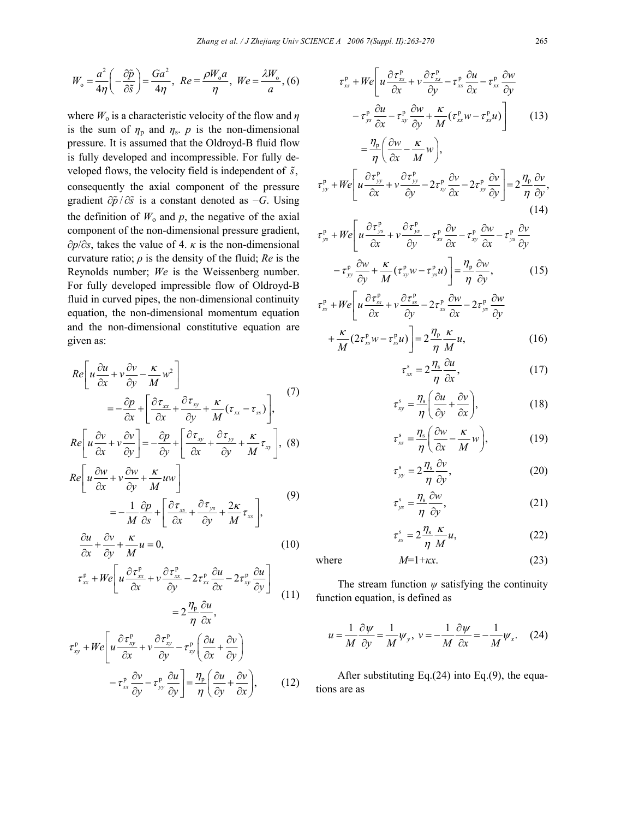$$
W_{o} = \frac{a^{2}}{4\eta} \left( -\frac{\partial \tilde{p}}{\partial \tilde{s}} \right) = \frac{Ga^{2}}{4\eta}, \ Re = \frac{\rho W_{o} a}{\eta}, \ We = \frac{\lambda W_{o}}{a}, (6)
$$

where *W*o is a characteristic velocity of the flow and *η* is the sum of  $\eta_p$  and  $\eta_s$ . *p* is the non-dimensional pressure. It is assumed that the Oldroyd-B fluid flow is fully developed and incompressible. For fully developed flows, the velocity field is independent of  $\tilde{s}$ , consequently the axial component of the pressure gradient  $\partial \tilde{p} / \partial \tilde{s}$  is a constant denoted as −*G*. Using the definition of  $W_0$  and  $p$ , the negative of the axial component of the non-dimensional pressure gradient, ∂*p*/∂*s*, takes the value of 4. *κ* is the non-dimensional curvature ratio; *ρ* is the density of the fluid; *Re* is the Reynolds number; *We* is the Weissenberg number. For fully developed impressible flow of Oldroyd-B fluid in curved pipes, the non-dimensional continuity equation, the non-dimensional momentum equation and the non-dimensional constitutive equation are given as:

$$
Re\left[u\frac{\partial u}{\partial x} + v\frac{\partial v}{\partial y} - \frac{\kappa}{M}w^2\right] = -\frac{\partial p}{\partial x} + \left[\frac{\partial \tau_{xx}}{\partial x} + \frac{\partial \tau_{xy}}{\partial y} + \frac{\kappa}{M}(\tau_{xx} - \tau_{ss})\right],
$$
  

$$
Re\left[u\frac{\partial v}{\partial x} + v\frac{\partial v}{\partial y}\right] = -\frac{\partial p}{\partial y} + \left[\frac{\partial \tau_{xy}}{\partial x} + \frac{\partial \tau_{yy}}{\partial y} + \frac{\kappa}{M}\tau_{xy}\right],
$$
 (8)  

$$
Re\left[u\frac{\partial w}{\partial x} + v\frac{\partial w}{\partial y} + \frac{\kappa}{M}uw\right]
$$
 (9)

$$
= -\frac{1}{M} \frac{\partial p}{\partial s} + \left[ \frac{\partial \tau_{xs}}{\partial x} + \frac{\partial \tau_{ys}}{\partial y} + \frac{2\kappa}{M} \tau_{xs} \right],
$$

$$
\frac{\partial u}{\partial x} + \frac{\partial v}{\partial y} + \frac{\kappa}{M} u = 0, \tag{10}
$$

$$
\tau_{xx}^{\mathrm{p}} + We \left[ u \frac{\partial \tau_{xx}^{\mathrm{p}}}{\partial x} + v \frac{\partial \tau_{xx}^{\mathrm{p}}}{\partial y} - 2 \tau_{xx}^{\mathrm{p}} \frac{\partial u}{\partial x} - 2 \tau_{xy}^{\mathrm{p}} \frac{\partial u}{\partial y} \right]
$$
(11)

$$
=2\frac{\eta_{\rm p}}{\eta}\frac{\partial u}{\partial x},
$$
  

$$
\tau_{xy}^{\rm p} + We \left[ u \frac{\partial \tau_{xy}^{\rm p}}{\partial x} + v \frac{\partial \tau_{xy}^{\rm p}}{\partial y} - \tau_{xy}^{\rm p} \left( \frac{\partial u}{\partial x} + \frac{\partial v}{\partial y} \right) - \tau_{xx}^{\rm p} \frac{\partial v}{\partial y} - \tau_{yy}^{\rm p} \frac{\partial u}{\partial y} \right] = \frac{\eta_{\rm p}}{\eta} \left( \frac{\partial u}{\partial y} + \frac{\partial v}{\partial x} \right), \qquad (12)
$$

$$
\tau_{xs}^{\mathrm{p}} + We \left[ u \frac{\partial \tau_{xs}^{\mathrm{p}}}{\partial x} + v \frac{\partial \tau_{xs}^{\mathrm{p}}}{\partial y} - \tau_{xs}^{\mathrm{p}} \frac{\partial u}{\partial x} - \tau_{xx}^{\mathrm{p}} \frac{\partial w}{\partial y} \right]
$$

$$
- \tau_{ys}^{\mathrm{p}} \frac{\partial u}{\partial x} - \tau_{xy}^{\mathrm{p}} \frac{\partial w}{\partial y} + \frac{\kappa}{M} (\tau_{xx}^{\mathrm{p}} w - \tau_{xs}^{\mathrm{p}} u) \right]
$$
(13)
$$
= \frac{\eta_{\mathrm{p}}}{\sqrt{\pi}} \left( \frac{\partial w}{\partial x} - \frac{\kappa}{M} w \right),
$$

$$
= \frac{\eta_{\rm p}}{\eta} \left( \frac{\partial w}{\partial x} - \frac{\kappa}{M} w \right),
$$
  
\n
$$
\tau_{yy}^{\rm p} + W e \left[ u \frac{\partial \tau_{yy}^{\rm p}}{\partial x} + v \frac{\partial \tau_{yy}^{\rm p}}{\partial y} - 2 \tau_{xy}^{\rm p} \frac{\partial v}{\partial x} - 2 \tau_{yy}^{\rm p} \frac{\partial v}{\partial y} \right] = 2 \frac{\eta_{\rm p}}{\eta} \frac{\partial v}{\partial y},
$$
\n(14)

$$
\tau_{ys}^{\mathrm{p}} + We \left[ u \frac{\partial \tau_{ys}^{\mathrm{p}}}{\partial x} + v \frac{\partial \tau_{ys}^{\mathrm{p}}}{\partial y} - \tau_{xs}^{\mathrm{p}} \frac{\partial v}{\partial x} - \tau_{xy}^{\mathrm{p}} \frac{\partial w}{\partial x} - \tau_{ys}^{\mathrm{p}} \frac{\partial v}{\partial y} - \tau_{ys}^{\mathrm{p}} \frac{\partial v}{\partial y} - \tau_{yy}^{\mathrm{p}} \frac{\partial v}{\partial y} + \frac{\kappa}{M} (\tau_{xy}^{\mathrm{p}} w - \tau_{ys}^{\mathrm{p}} u) \right] = \frac{\eta_{\mathrm{p}}}{\eta} \frac{\partial w}{\partial y}, \tag{15}
$$

$$
\tau_{ss}^{\mathrm{p}} + We \left[ u \frac{\partial \tau_{ss}^{\mathrm{p}}}{\partial x} + v \frac{\partial \tau_{ss}^{\mathrm{p}}}{\partial y} - 2 \tau_{xs}^{\mathrm{p}} \frac{\partial w}{\partial x} - 2 \tau_{ys}^{\mathrm{p}} \frac{\partial w}{\partial y} + \frac{\kappa}{M} (2 \tau_{xs}^{\mathrm{p}} w - \tau_{ss}^{\mathrm{p}} u) \right] = 2 \frac{\eta_{\mathrm{p}}}{\eta} \frac{\kappa}{M} u,
$$
 (16)

$$
\tau_{xx}^s = 2 \frac{\eta_s}{\eta} \frac{\partial u}{\partial x},\qquad(17)
$$

$$
\tau_{xy}^s = \frac{\eta_s}{\eta} \left( \frac{\partial u}{\partial y} + \frac{\partial v}{\partial x} \right),\tag{18}
$$

$$
\tau_{xx}^s = \frac{\eta_s}{\eta} \left( \frac{\partial w}{\partial x} - \frac{\kappa}{M} w \right),\tag{19}
$$

$$
\tau_{yy}^s = 2 \frac{\eta_s}{\eta} \frac{\partial v}{\partial y},\tag{20}
$$

$$
\tau_{\rm ys}^{\rm s} = \frac{\eta_{\rm s}}{\eta} \frac{\partial w}{\partial y},\tag{21}
$$

$$
\tau_{ss}^{s} = 2\frac{\eta_{s}}{\eta} \frac{\kappa}{M} u,\tag{22}
$$

where *M*=1+*κx*. (23)

The stream function *ψ* satisfying the continuity function equation, is defined as

$$
u = \frac{1}{M} \frac{\partial \psi}{\partial y} = \frac{1}{M} \psi_y, \ v = -\frac{1}{M} \frac{\partial \psi}{\partial x} = -\frac{1}{M} \psi_x. \tag{24}
$$

After substituting Eq.(24) into Eq.(9), the equations are as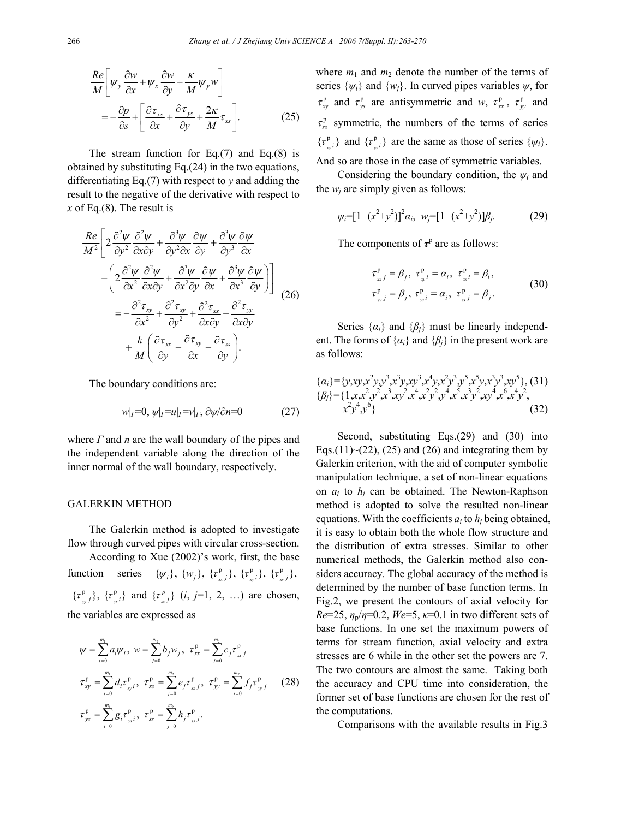$$
\frac{Re}{M} \left[ \psi_y \frac{\partial w}{\partial x} + \psi_x \frac{\partial w}{\partial y} + \frac{\kappa}{M} \psi_y w \right]
$$
  
= 
$$
-\frac{\partial p}{\partial s} + \left[ \frac{\partial \tau_{xs}}{\partial x} + \frac{\partial \tau_{ys}}{\partial y} + \frac{2\kappa}{M} \tau_{xs} \right].
$$
 (25)

The stream function for Eq.(7) and Eq.(8) is obtained by substituting Eq.(24) in the two equations, differentiating Eq.(7) with respect to *y* and adding the result to the negative of the derivative with respect to *x* of Eq.(8). The result is

$$
\frac{Re}{M^2} \left[ 2 \frac{\partial^2 \psi}{\partial y^2} \frac{\partial^2 \psi}{\partial x \partial y} + \frac{\partial^3 \psi}{\partial y^2 \partial x} \frac{\partial \psi}{\partial y} + \frac{\partial^3 \psi}{\partial y^3} \frac{\partial \psi}{\partial x} \right]
$$

$$
- \left( 2 \frac{\partial^2 \psi}{\partial x^2} \frac{\partial^2 \psi}{\partial x \partial y} + \frac{\partial^3 \psi}{\partial x^2 \partial y} \frac{\partial \psi}{\partial x} + \frac{\partial^3 \psi}{\partial x^3} \frac{\partial \psi}{\partial y} \right) \right]
$$

$$
= - \frac{\partial^2 \tau_{xy}}{\partial x^2} + \frac{\partial^2 \tau_{xy}}{\partial y^2} + \frac{\partial^2 \tau_{xx}}{\partial x \partial y} - \frac{\partial^2 \tau_{yy}}{\partial x \partial y}
$$

$$
+ \frac{k}{M} \left( \frac{\partial \tau_{xx}}{\partial y} - \frac{\partial \tau_{xy}}{\partial x} - \frac{\partial \tau_{xy}}{\partial y} \right).
$$
(26)

The boundary conditions are:

$$
w|_{I}=0, \psi|_{I}=u|_{I}=v|_{I}, \partial \psi/\partial n=0 \qquad (27)
$$

where *Γ* and *n* are the wall boundary of the pipes and the independent variable along the direction of the inner normal of the wall boundary, respectively.

#### GALERKIN METHOD

The Galerkin method is adopted to investigate flow through curved pipes with circular cross-section.

According to Xue (2002)'s work, first, the base function series  $\{\psi_i\}$ ,  $\{\psi_j\}$ ,  $\{\tau^{\mathfrak{p}}_{\mathfrak{p}}\}$ ,  $\{\tau^{\mathfrak{p}}_{\mathfrak{p}}\}$ ,  $\{\tau^{\mathfrak{p}}_{\mathfrak{p}}\}$ ,  $\{ \tau^p_{y} \}$ ,  $\{ \tau^p_{y} \}$  and  $\{ \tau^p_{s} \}$  (*i*, *j*=1, 2, ...) are chosen, the variables are expressed as

$$
\psi = \sum_{i=0}^{m_1} a_i \psi_i, \quad\nw = \sum_{j=0}^{m_2} b_j \psi_j, \quad\n\tau_{xx}^{\mathbf{p}} = \sum_{j=0}^{m_2} c_j \tau_{xx}^{\mathbf{p}} j
$$
\n
$$
\tau_{xy}^{\mathbf{p}} = \sum_{i=0}^{m_1} d_i \tau_{xy}^{\mathbf{p}} i, \quad\n\tau_{xx}^{\mathbf{p}} = \sum_{j=0}^{m_2} e_j \tau_{xy}^{\mathbf{p}} j, \quad\n\tau_{yy}^{\mathbf{p}} = \sum_{j=0}^{m_2} f_j \tau_{yy}^{\mathbf{p}} j \tag{28}
$$
\n
$$
\tau_{yy}^{\mathbf{p}} = \sum_{i=0}^{m_1} g_i \tau_{yx}^{\mathbf{p}} i, \quad\n\tau_{ss}^{\mathbf{p}} = \sum_{j=0}^{m_2} h_j \tau_{xy}^{\mathbf{p}} j.
$$

where  $m_1$  and  $m_2$  denote the number of the terms of series  $\{\psi_i\}$  and  $\{w_i\}$ . In curved pipes variables  $\psi$ , for  $\tau_{xy}^{\text{p}}$  and  $\tau_{yx}^{\text{p}}$  are antisymmetric and *w*,  $\tau_{xx}^{\text{p}}$ ,  $\tau_{yy}^{\text{p}}$  and  $\tau_{ss}^{p}$  symmetric, the numbers of the terms of series  $\{\tau^p_{i}\}\$  and  $\{\tau^p_{i}\}\$  are the same as those of series  $\{\psi_i\}.$ And so are those in the case of symmetric variables.

Considering the boundary condition, the  $\psi_i$  and the  $w_i$  are simply given as follows:

$$
\psi_i = [1 - (x^2 + y^2)]^2 \alpha_i, \ \ w_j = [1 - (x^2 + y^2)] \beta_j. \tag{29}
$$

The components of  $\tau^p$  are as follows:

$$
\tau_{xi}^{\mathbf{p}} = \beta_j, \ \tau_{yi}^{\mathbf{p}} = \alpha_i, \ \tau_{xi}^{\mathbf{p}} = \beta_i,
$$
  

$$
\tau_{yi}^{\mathbf{p}} = \beta_j, \ \tau_{yi}^{\mathbf{p}} = \alpha_i, \ \tau_{si}^{\mathbf{p}} = \beta_j.
$$
 (30)

Series  $\{\alpha_i\}$  and  $\{\beta_i\}$  must be linearly independent. The forms of  $\{\alpha_i\}$  and  $\{\beta_i\}$  in the present work are as follows:

$$
{\alpha_i} = {y, xy, x^2y, y^3, x^3y, xy^3, x^4y, x^2y^3, y^5, x^5y, x^3y^3, xy^5}
$$
, (31)  

$$
{\beta_i} = {1, x, x^2, y^2, x^3, xy^2, x^4, x^2y^2, y^4, x^5, x^3y^2, xy^4, x^6, x^4y^2, x^2y^4, y^6}
$$
  
(32)

Second, substituting Eqs.(29) and (30) into Eqs.(11) $\sim$ (22), (25) and (26) and integrating them by Galerkin criterion, with the aid of computer symbolic manipulation technique, a set of non-linear equations on *ai* to *hj* can be obtained. The Newton-Raphson method is adopted to solve the resulted non-linear equations. With the coefficients  $a_i$  to  $h_i$  being obtained, it is easy to obtain both the whole flow structure and the distribution of extra stresses. Similar to other numerical methods, the Galerkin method also considers accuracy. The global accuracy of the method is determined by the number of base function terms. In Fig.2, we present the contours of axial velocity for  $Re=25$ ,  $\eta_p/\eta=0.2$ ,  $We=5$ ,  $\kappa=0.1$  in two different sets of base functions. In one set the maximum powers of terms for stream function, axial velocity and extra stresses are 6 while in the other set the powers are 7. The two contours are almost the same. Taking both the accuracy and CPU time into consideration, the former set of base functions are chosen for the rest of the computations.

Comparisons with the available results in Fig.3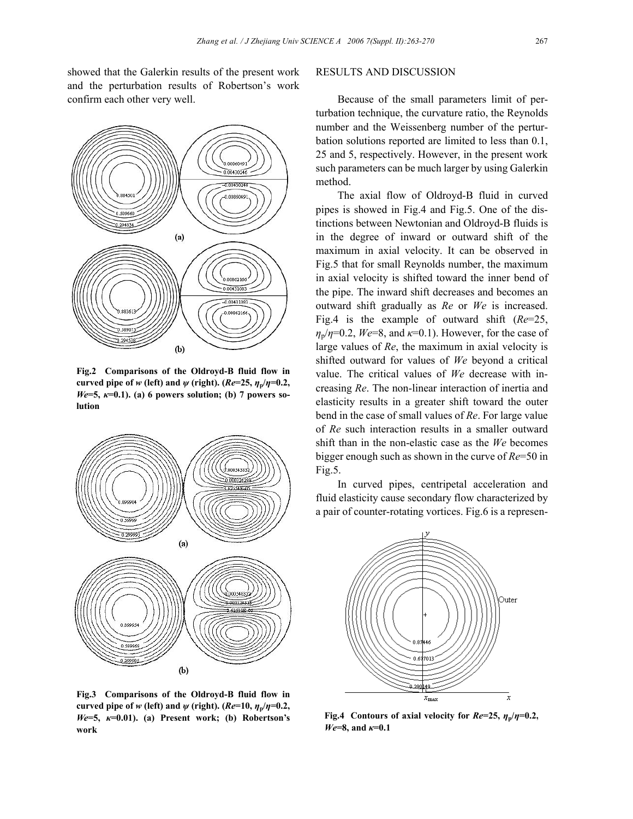showed that the Galerkin results of the present work and the perturbation results of Robertson's work confirm each other very well.



**Fig.2 Comparisons of the Oldroyd-B fluid flow in**  curved pipe of *w* (left) and  $\psi$  (right). ( $Re=25$ ,  $\eta_p/\eta=0.2$ ,  $We=5, \kappa=0.1$ ). (a) 6 powers solution; (b) 7 powers so**lution** 



**Fig.3 Comparisons of the Oldroyd-B fluid flow in curved pipe of** *w* **(left) and**  $\psi$  **(right). (** $Re=10$ **,**  $\eta_p/\eta=0.2$ **,** *We***=5,** *κ***=0.01). (a) Present work; (b) Robertson's work**

# RESULTS AND DISCUSSION

Because of the small parameters limit of perturbation technique, the curvature ratio, the Reynolds number and the Weissenberg number of the perturbation solutions reported are limited to less than 0.1, 25 and 5, respectively. However, in the present work such parameters can be much larger by using Galerkin method.

The axial flow of Oldroyd-B fluid in curved pipes is showed in Fig.4 and Fig.5. One of the distinctions between Newtonian and Oldroyd-B fluids is in the degree of inward or outward shift of the maximum in axial velocity. It can be observed in Fig.5 that for small Reynolds number, the maximum in axial velocity is shifted toward the inner bend of the pipe. The inward shift decreases and becomes an outward shift gradually as *Re* or *We* is increased. Fig.4 is the example of outward shift (*Re*=25,  $\eta_p/\eta=0.2$ , *We*=8, and *κ*=0.1). However, for the case of large values of *Re*, the maximum in axial velocity is shifted outward for values of *We* beyond a critical value. The critical values of *We* decrease with increasing *Re*. The non-linear interaction of inertia and elasticity results in a greater shift toward the outer bend in the case of small values of *Re*. For large value of *Re* such interaction results in a smaller outward shift than in the non-elastic case as the *We* becomes bigger enough such as shown in the curve of *Re*=50 in Fig.5.

In curved pipes, centripetal acceleration and fluid elasticity cause secondary flow characterized by a pair of counter-rotating vortices. Fig.6 is a represen-



**Fig.4** Contours of axial velocity for  $Re=25$ ,  $\eta_p/\eta=0.2$ , *We***=8, and** *κ***=0.1**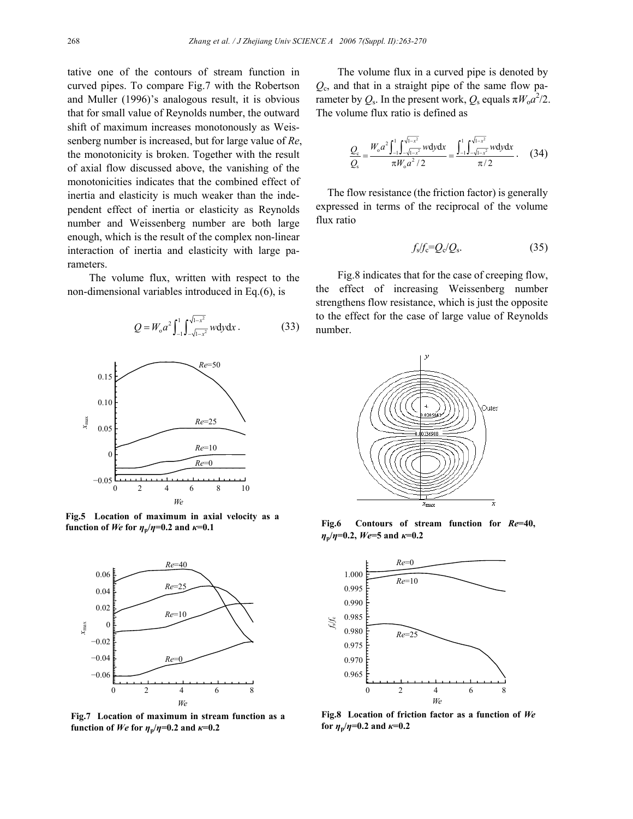tative one of the contours of stream function in curved pipes. To compare Fig.7 with the Robertson and Muller (1996)'s analogous result, it is obvious that for small value of Reynolds number, the outward shift of maximum increases monotonously as Weissenberg number is increased, but for large value of *Re*, the monotonicity is broken. Together with the result of axial flow discussed above, the vanishing of the monotonicities indicates that the combined effect of inertia and elasticity is much weaker than the independent effect of inertia or elasticity as Reynolds number and Weissenberg number are both large enough, which is the result of the complex non-linear interaction of inertia and elasticity with large parameters.

The volume flux, written with respect to the non-dimensional variables introduced in Eq.(6), is

$$
Q = W_0 a^2 \int_{-1}^{1} \int_{-\sqrt{1-x^2}}^{\sqrt{1-x^2}} w \, \mathrm{d}y \, \mathrm{d}x \,. \tag{33}
$$



**Fig.5 Location of maximum in axial velocity as a function of We for**  $\eta_p/\eta=0.2$  **and**  $\kappa=0.1$ 



**Fig.7 Location of maximum in stream function as a function of We for**  $\eta_p/\eta=0.2$  **and**  $\kappa=0.2$ 

The volume flux in a curved pipe is denoted by *Q*c, and that in a straight pipe of the same flow parameter by  $Q_s$ . In the present work,  $Q_s$  equals  $\pi W_0 a^2/2$ . The volume flux ratio is defined as

$$
\frac{Q_{\rm c}}{Q_{\rm s}} = \frac{W_{\rm o} a^2 \int_{-1}^{1} \int_{-\sqrt{1-x^2}}^{\sqrt{1-x^2}} w \, \mathrm{d}y \, \mathrm{d}x}{\pi W_{\rm o} a^2 / 2} = \frac{\int_{-1}^{1} \int_{-\sqrt{1-x^2}}^{\sqrt{1-x^2}} w \, \mathrm{d}y \, \mathrm{d}x}{\pi / 2} \,. \tag{34}
$$

The flow resistance (the friction factor) is generally expressed in terms of the reciprocal of the volume flux ratio

$$
f_{\rm s}/f_{\rm c} = Q_{\rm c}/Q_{\rm s}.\tag{35}
$$

Fig.8 indicates that for the case of creeping flow, the effect of increasing Weissenberg number strengthens flow resistance, which is just the opposite to the effect for the case of large value of Reynolds number.



**Fig.6 Contours of stream function for** *Re***=40,** *η***p/***η***=0.2,** *We***=5 and** *κ***=0.2**



**Fig.8 Location of friction factor as a function of** *We* **for**  $\eta_p/\eta = 0.2$  and  $\kappa = 0.2$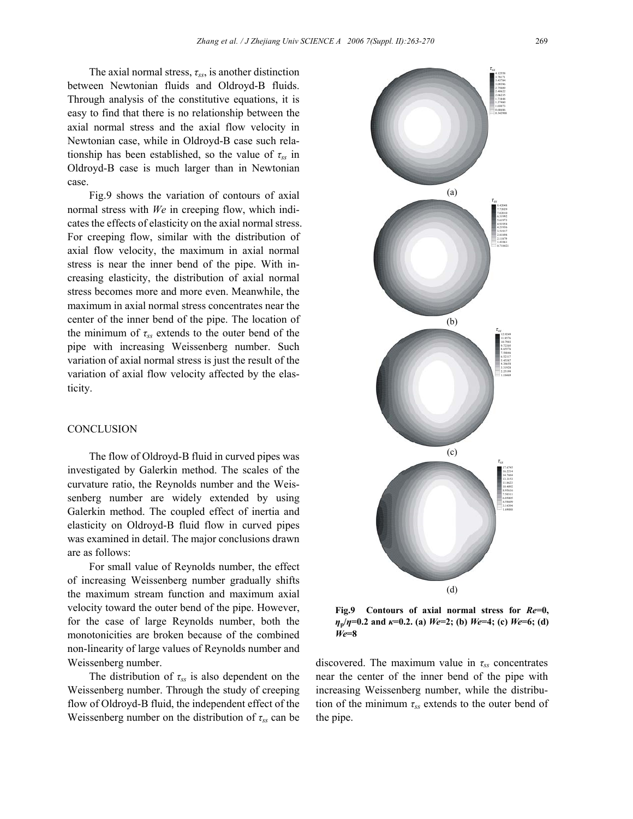The axial normal stress, *τss*, is another distinction between Newtonian fluids and Oldroyd-B fluids. Through analysis of the constitutive equations, it is easy to find that there is no relationship between the axial normal stress and the axial flow velocity in Newtonian case, while in Oldroyd-B case such relationship has been established, so the value of *τss* in Oldroyd-B case is much larger than in Newtonian case.

Fig.9 shows the variation of contours of axial normal stress with *We* in creeping flow, which indicates the effects of elasticity on the axial normal stress. For creeping flow, similar with the distribution of axial flow velocity, the maximum in axial normal stress is near the inner bend of the pipe. With increasing elasticity, the distribution of axial normal stress becomes more and more even. Meanwhile, the maximum in axial normal stress concentrates near the center of the inner bend of the pipe. The location of the minimum of *τss* extends to the outer bend of the pipe with increasing Weissenberg number. Such variation of axial normal stress is just the result of the variation of axial flow velocity affected by the elasticity.

### **CONCLUSION**

The flow of Oldroyd-B fluid in curved pipes was investigated by Galerkin method. The scales of the curvature ratio, the Reynolds number and the Weissenberg number are widely extended by using Galerkin method. The coupled effect of inertia and elasticity on Oldroyd-B fluid flow in curved pipes was examined in detail. The major conclusions drawn are as follows:

For small value of Reynolds number, the effect of increasing Weissenberg number gradually shifts the maximum stream function and maximum axial velocity toward the outer bend of the pipe. However, for the case of large Reynolds number, both the monotonicities are broken because of the combined non-linearity of large values of Reynolds number and Weissenberg number.

The distribution of *τss* is also dependent on the Weissenberg number. Through the study of creeping flow of Oldroyd-B fluid, the independent effect of the Weissenberg number on the distribution of *τss* can be



**Fig.9 Contours of axial normal stress for** *Re***=0,** *η***p/***η***=0.2 and** *κ***=0.2. (a)** *We***=2; (b)** *We***=4; (c)** *We***=6; (d)** *We***=8**

discovered. The maximum value in *τss* concentrates near the center of the inner bend of the pipe with increasing Weissenberg number, while the distribution of the minimum *τss* extends to the outer bend of the pipe.